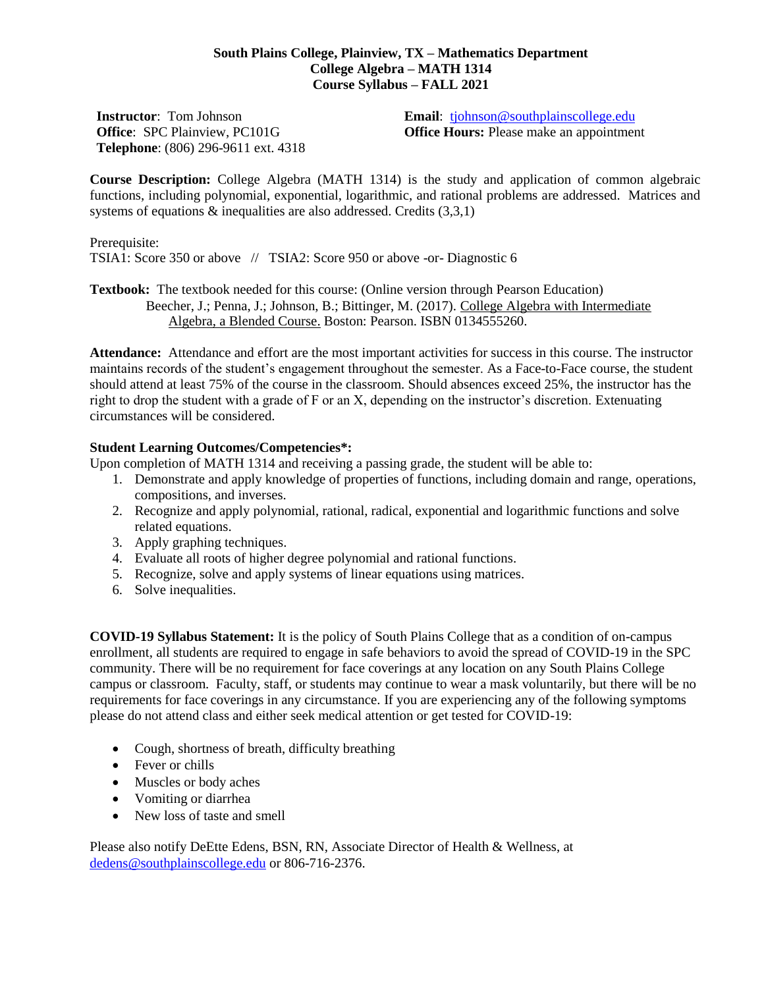## **South Plains College, Plainview, TX – Mathematics Department College Algebra – MATH 1314 Course Syllabus – FALL 2021**

**Instructor**: Tom Johnson **Office**: SPC Plainview, PC101G **Telephone**: (806) 296-9611 ext. 4318 **Email**: [tjohnson@southplainscollege.edu](mailto:tjohnson@southplainscollege.edu) **Office Hours:** Please make an appointment

**Course Description:** College Algebra (MATH 1314) is the study and application of common algebraic functions, including polynomial, exponential, logarithmic, and rational problems are addressed. Matrices and systems of equations & inequalities are also addressed. Credits (3,3,1)

Prerequisite: TSIA1: Score 350 or above // TSIA2: Score 950 or above -or- Diagnostic 6

**Textbook:** The textbook needed for this course: (Online version through Pearson Education) Beecher, J.; Penna, J.; Johnson, B.; Bittinger, M. (2017). College Algebra with Intermediate Algebra, a Blended Course. Boston: Pearson. ISBN 0134555260.

**Attendance:** Attendance and effort are the most important activities for success in this course. The instructor maintains records of the student's engagement throughout the semester. As a Face-to-Face course, the student should attend at least 75% of the course in the classroom. Should absences exceed 25%, the instructor has the right to drop the student with a grade of F or an X, depending on the instructor's discretion. Extenuating circumstances will be considered.

## **Student Learning Outcomes/Competencies\*:**

Upon completion of MATH 1314 and receiving a passing grade, the student will be able to:

- 1. Demonstrate and apply knowledge of properties of functions, including domain and range, operations, compositions, and inverses.
- 2. Recognize and apply polynomial, rational, radical, exponential and logarithmic functions and solve related equations.
- 3. Apply graphing techniques.
- 4. Evaluate all roots of higher degree polynomial and rational functions.
- 5. Recognize, solve and apply systems of linear equations using matrices.
- 6. Solve inequalities.

**COVID-19 Syllabus Statement:** It is the policy of South Plains College that as a condition of on-campus enrollment, all students are required to engage in safe behaviors to avoid the spread of COVID-19 in the SPC community. There will be no requirement for face coverings at any location on any South Plains College campus or classroom. Faculty, staff, or students may continue to wear a mask voluntarily, but there will be no requirements for face coverings in any circumstance. If you are experiencing any of the following symptoms please do not attend class and either seek medical attention or get tested for COVID-19:

- Cough, shortness of breath, difficulty breathing
- Fever or chills
- Muscles or body aches
- Vomiting or diarrhea
- New loss of taste and smell

Please also notify DeEtte Edens, BSN, RN, Associate Director of Health & Wellness, at [dedens@southplainscollege.edu](mailto:dedens@southplainscollege.edu) or 806-716-2376.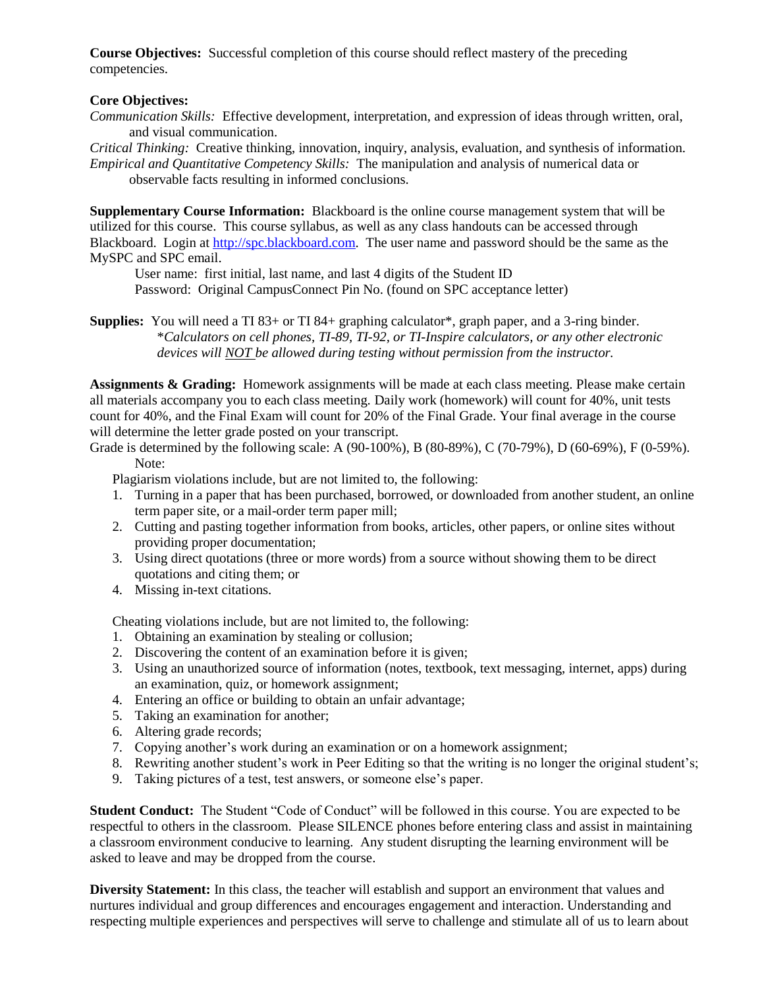**Course Objectives:** Successful completion of this course should reflect mastery of the preceding competencies.

## **Core Objectives:**

*Communication Skills:* Effective development, interpretation, and expression of ideas through written, oral, and visual communication.

*Critical Thinking:* Creative thinking, innovation, inquiry, analysis, evaluation, and synthesis of information. *Empirical and Quantitative Competency Skills:* The manipulation and analysis of numerical data or observable facts resulting in informed conclusions.

**Supplementary Course Information:** Blackboard is the online course management system that will be utilized for this course. This course syllabus, as well as any class handouts can be accessed through Blackboard. Login at [http://spc.blackboard.com.](http://spc.blackboard.com/) The user name and password should be the same as the MySPC and SPC email.

User name: first initial, last name, and last 4 digits of the Student ID Password: Original CampusConnect Pin No. (found on SPC acceptance letter)

**Supplies:** You will need a TI 83+ or TI 84+ graphing calculator\*, graph paper, and a 3-ring binder. \**Calculators on cell phones, TI-89, TI-92, or TI-Inspire calculators, or any other electronic devices will NOT be allowed during testing without permission from the instructor.*

**Assignments & Grading:** Homework assignments will be made at each class meeting. Please make certain all materials accompany you to each class meeting. Daily work (homework) will count for 40%, unit tests count for 40%, and the Final Exam will count for 20% of the Final Grade. Your final average in the course will determine the letter grade posted on your transcript.

Grade is determined by the following scale: A (90-100%), B (80-89%), C (70-79%), D (60-69%), F (0-59%). Note:

Plagiarism violations include, but are not limited to, the following:

- 1. Turning in a paper that has been purchased, borrowed, or downloaded from another student, an online term paper site, or a mail-order term paper mill;
- 2. Cutting and pasting together information from books, articles, other papers, or online sites without providing proper documentation;
- 3. Using direct quotations (three or more words) from a source without showing them to be direct quotations and citing them; or
- 4. Missing in-text citations.

Cheating violations include, but are not limited to, the following:

- 1. Obtaining an examination by stealing or collusion;
- 2. Discovering the content of an examination before it is given;
- 3. Using an unauthorized source of information (notes, textbook, text messaging, internet, apps) during an examination, quiz, or homework assignment;
- 4. Entering an office or building to obtain an unfair advantage;
- 5. Taking an examination for another;
- 6. Altering grade records;
- 7. Copying another's work during an examination or on a homework assignment;
- 8. Rewriting another student's work in Peer Editing so that the writing is no longer the original student's;
- 9. Taking pictures of a test, test answers, or someone else's paper.

**Student Conduct:** The Student "Code of Conduct" will be followed in this course. You are expected to be respectful to others in the classroom. Please SILENCE phones before entering class and assist in maintaining a classroom environment conducive to learning. Any student disrupting the learning environment will be asked to leave and may be dropped from the course.

**Diversity Statement:** In this class, the teacher will establish and support an environment that values and nurtures individual and group differences and encourages engagement and interaction. Understanding and respecting multiple experiences and perspectives will serve to challenge and stimulate all of us to learn about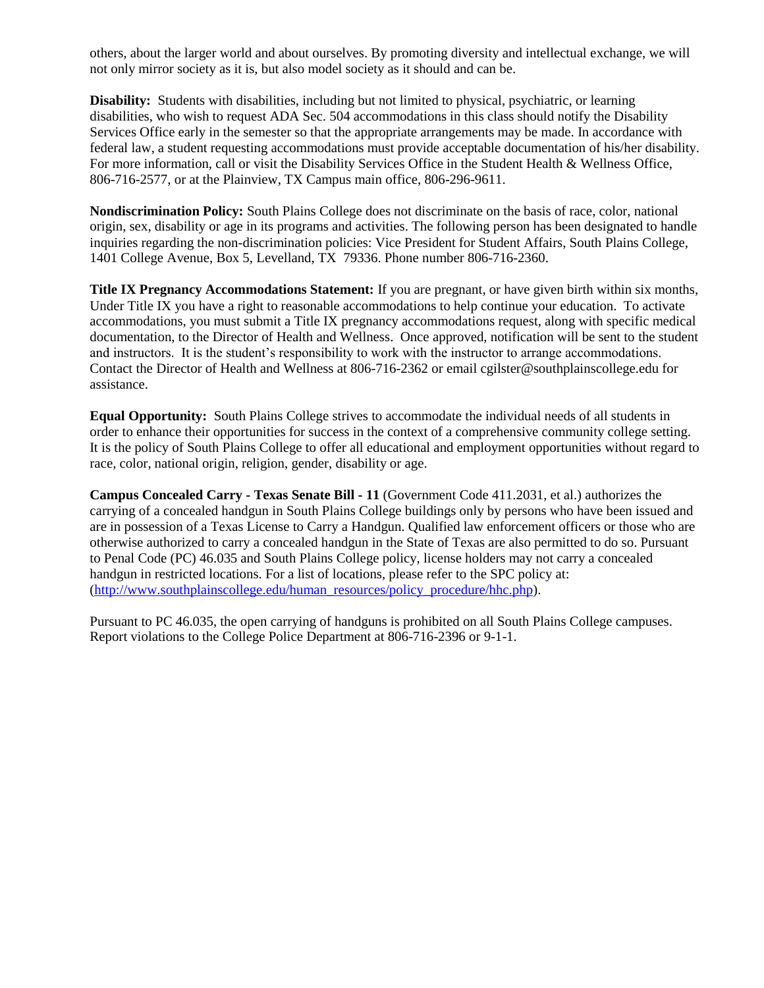others, about the larger world and about ourselves. By promoting diversity and intellectual exchange, we will not only mirror society as it is, but also model society as it should and can be.

**Disability:** Students with disabilities, including but not limited to physical, psychiatric, or learning disabilities, who wish to request ADA Sec. 504 accommodations in this class should notify the Disability Services Office early in the semester so that the appropriate arrangements may be made. In accordance with federal law, a student requesting accommodations must provide acceptable documentation of his/her disability. For more information, call or visit the Disability Services Office in the Student Health & Wellness Office, 806-716-2577, or at the Plainview, TX Campus main office, 806-296-9611.

**Nondiscrimination Policy:** South Plains College does not discriminate on the basis of race, color, national origin, sex, disability or age in its programs and activities. The following person has been designated to handle inquiries regarding the non-discrimination policies: Vice President for Student Affairs, South Plains College, 1401 College Avenue, Box 5, Levelland, TX 79336. Phone number 806-716-2360.

**Title IX Pregnancy Accommodations Statement:** If you are pregnant, or have given birth within six months, Under Title IX you have a right to reasonable accommodations to help continue your education. To activate accommodations, you must submit a Title IX pregnancy accommodations request, along with specific medical documentation, to the Director of Health and Wellness. Once approved, notification will be sent to the student and instructors. It is the student's responsibility to work with the instructor to arrange accommodations. Contact the Director of Health and Wellness at 806-716-2362 or email cgilster@southplainscollege.edu for assistance.

**Equal Opportunity:** South Plains College strives to accommodate the individual needs of all students in order to enhance their opportunities for success in the context of a comprehensive community college setting. It is the policy of South Plains College to offer all educational and employment opportunities without regard to race, color, national origin, religion, gender, disability or age.

**Campus Concealed Carry - Texas Senate Bill - 11** (Government Code 411.2031, et al.) authorizes the carrying of a concealed handgun in South Plains College buildings only by persons who have been issued and are in possession of a Texas License to Carry a Handgun. Qualified law enforcement officers or those who are otherwise authorized to carry a concealed handgun in the State of Texas are also permitted to do so. Pursuant to Penal Code (PC) 46.035 and South Plains College policy, license holders may not carry a concealed handgun in restricted locations. For a list of locations, please refer to the SPC policy at: [\(http://www.southplainscollege.edu/human\\_resources/policy\\_procedure/hhc.php\)](http://www.southplainscollege.edu/human_resources/policy_procedure/hhc.php).

Pursuant to PC 46.035, the open carrying of handguns is prohibited on all South Plains College campuses. Report violations to the College Police Department at 806-716-2396 or 9-1-1.